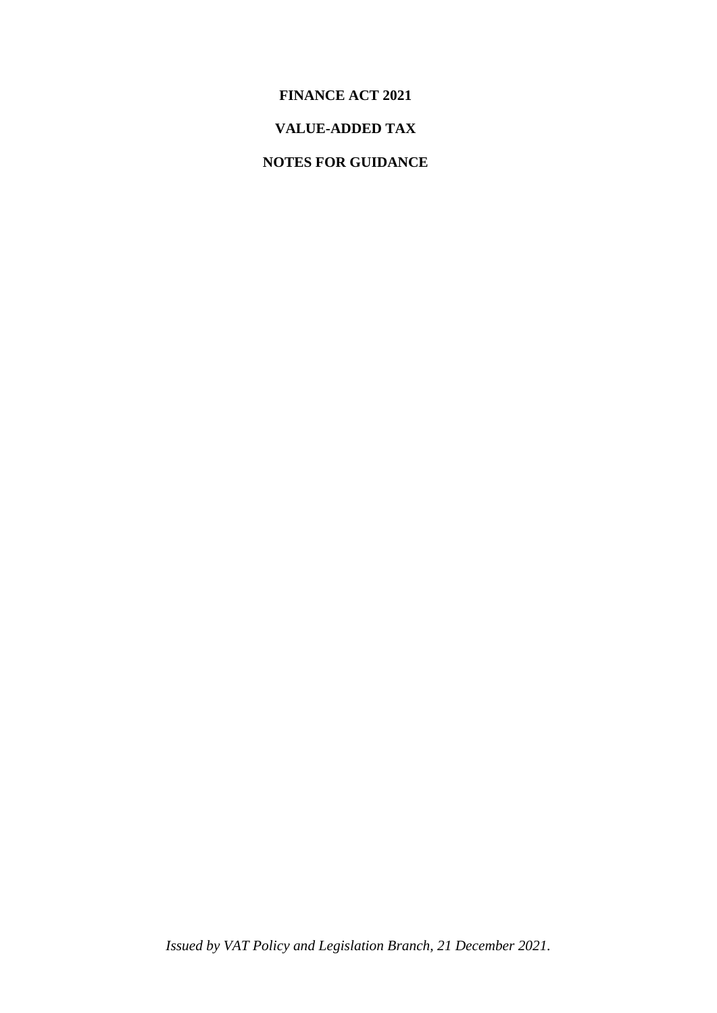### **FINANCE ACT 2021**

## **VALUE-ADDED TAX**

## **NOTES FOR GUIDANCE**

*Issued by VAT Policy and Legislation Branch, 21 December 2021.*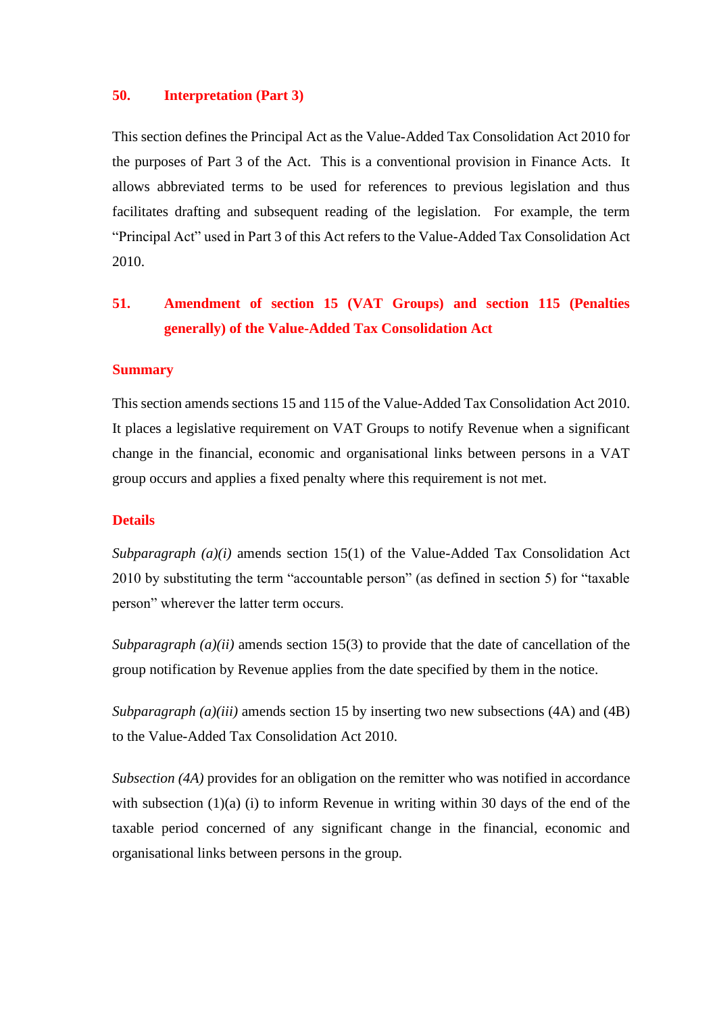#### **50. Interpretation (Part 3)**

This section defines the Principal Act as the Value-Added Tax Consolidation Act 2010 for the purposes of Part 3 of the Act. This is a conventional provision in Finance Acts. It allows abbreviated terms to be used for references to previous legislation and thus facilitates drafting and subsequent reading of the legislation. For example, the term "Principal Act" used in Part 3 of this Act refers to the Value-Added Tax Consolidation Act 2010.

## **51. Amendment of section 15 (VAT Groups) and section 115 (Penalties generally) of the Value-Added Tax Consolidation Act**

#### **Summary**

This section amends sections 15 and 115 of the Value-Added Tax Consolidation Act 2010. It places a legislative requirement on VAT Groups to notify Revenue when a significant change in the financial, economic and organisational links between persons in a VAT group occurs and applies a fixed penalty where this requirement is not met.

#### **Details**

*Subparagraph (a)(i)* amends section 15(1) of the Value-Added Tax Consolidation Act 2010 by substituting the term "accountable person" (as defined in section 5) for "taxable person" wherever the latter term occurs.

*Subparagraph (a)(ii)* amends section 15(3) to provide that the date of cancellation of the group notification by Revenue applies from the date specified by them in the notice.

*Subparagraph (a)(iii)* amends section 15 by inserting two new subsections (4A) and (4B) to the Value-Added Tax Consolidation Act 2010.

*Subsection (4A)* provides for an obligation on the remitter who was notified in accordance with subsection  $(1)(a)$  (i) to inform Revenue in writing within 30 days of the end of the taxable period concerned of any significant change in the financial, economic and organisational links between persons in the group.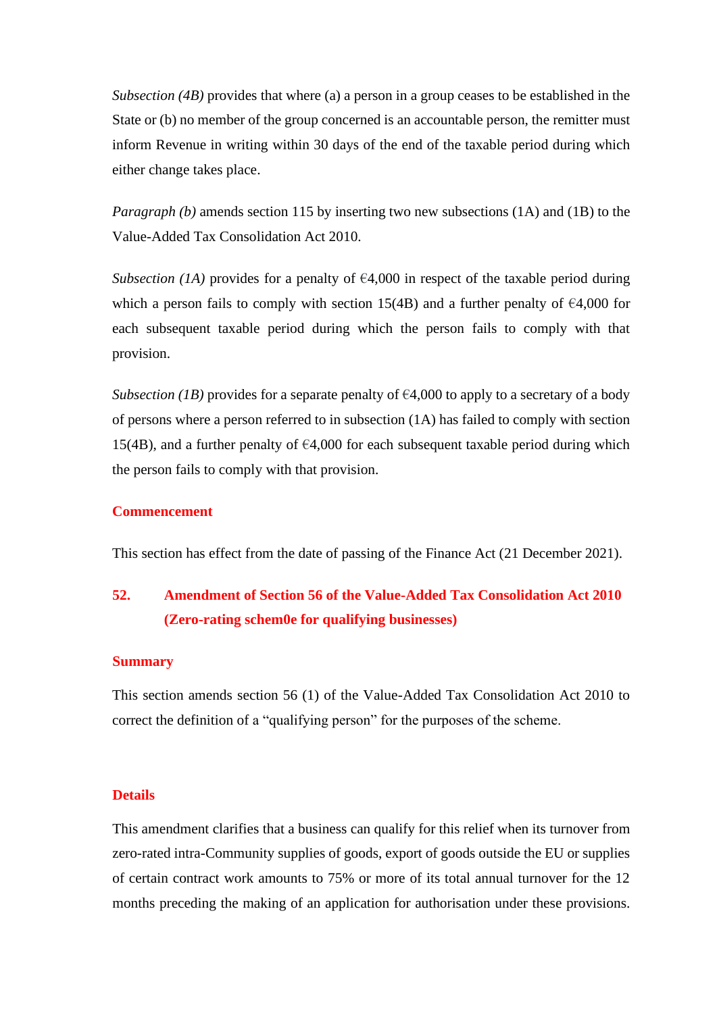*Subsection (4B)* provides that where (a) a person in a group ceases to be established in the State or (b) no member of the group concerned is an accountable person, the remitter must inform Revenue in writing within 30 days of the end of the taxable period during which either change takes place.

*Paragraph (b)* amends section 115 by inserting two new subsections (1A) and (1B) to the Value-Added Tax Consolidation Act 2010.

*Subsection (1A)* provides for a penalty of  $\epsilon$ 4,000 in respect of the taxable period during which a person fails to comply with section 15(4B) and a further penalty of  $\epsilon$ 4,000 for each subsequent taxable period during which the person fails to comply with that provision.

*Subsection (1B)* provides for a separate penalty of  $\epsilon$ 4,000 to apply to a secretary of a body of persons where a person referred to in subsection (1A) has failed to comply with section 15(4B), and a further penalty of  $\epsilon$ 4,000 for each subsequent taxable period during which the person fails to comply with that provision.

#### **Commencement**

This section has effect from the date of passing of the Finance Act (21 December 2021).

## **52. Amendment of Section 56 of the Value-Added Tax Consolidation Act 2010 (Zero-rating schem0e for qualifying businesses)**

#### **Summary**

This section amends section 56 (1) of the Value-Added Tax Consolidation Act 2010 to correct the definition of a "qualifying person" for the purposes of the scheme.

#### **Details**

This amendment clarifies that a business can qualify for this relief when its turnover from zero-rated intra-Community supplies of goods, export of goods outside the EU or supplies of certain contract work amounts to 75% or more of its total annual turnover for the 12 months preceding the making of an application for authorisation under these provisions.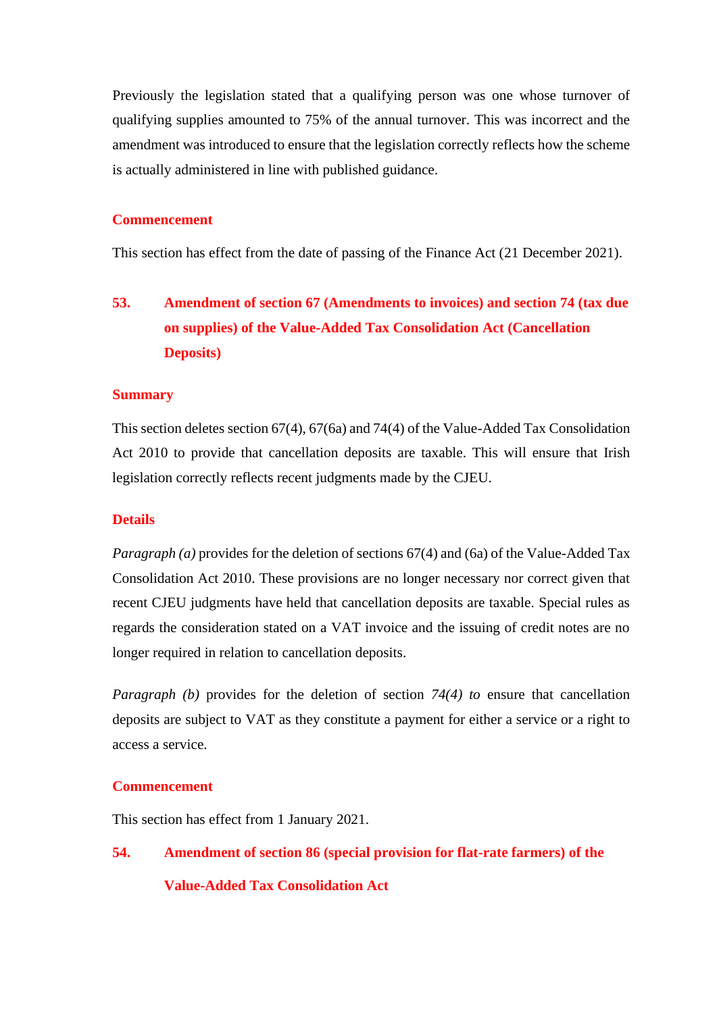Previously the legislation stated that a qualifying person was one whose turnover of qualifying supplies amounted to 75% of the annual turnover. This was incorrect and the amendment was introduced to ensure that the legislation correctly reflects how the scheme is actually administered in line with published guidance.

#### **Commencement**

This section has effect from the date of passing of the Finance Act (21 December 2021).

## **53. Amendment of section 67 (Amendments to invoices) and section 74 (tax due on supplies) of the Value-Added Tax Consolidation Act (Cancellation Deposits)**

#### **Summary**

This section deletes section 67(4), 67(6a) and 74(4) of the Value-Added Tax Consolidation Act 2010 to provide that cancellation deposits are taxable. This will ensure that Irish legislation correctly reflects recent judgments made by the CJEU.

#### **Details**

*Paragraph (a)* provides for the deletion of sections 67(4) and (6a) of the Value-Added Tax Consolidation Act 2010. These provisions are no longer necessary nor correct given that recent CJEU judgments have held that cancellation deposits are taxable. Special rules as regards the consideration stated on a VAT invoice and the issuing of credit notes are no longer required in relation to cancellation deposits.

*Paragraph (b)* provides for the deletion of section 74(4) to ensure that cancellation deposits are subject to VAT as they constitute a payment for either a service or a right to access a service.

#### **Commencement**

This section has effect from 1 January 2021.

# **54. Amendment of section 86 (special provision for flat-rate farmers) of the Value-Added Tax Consolidation Act**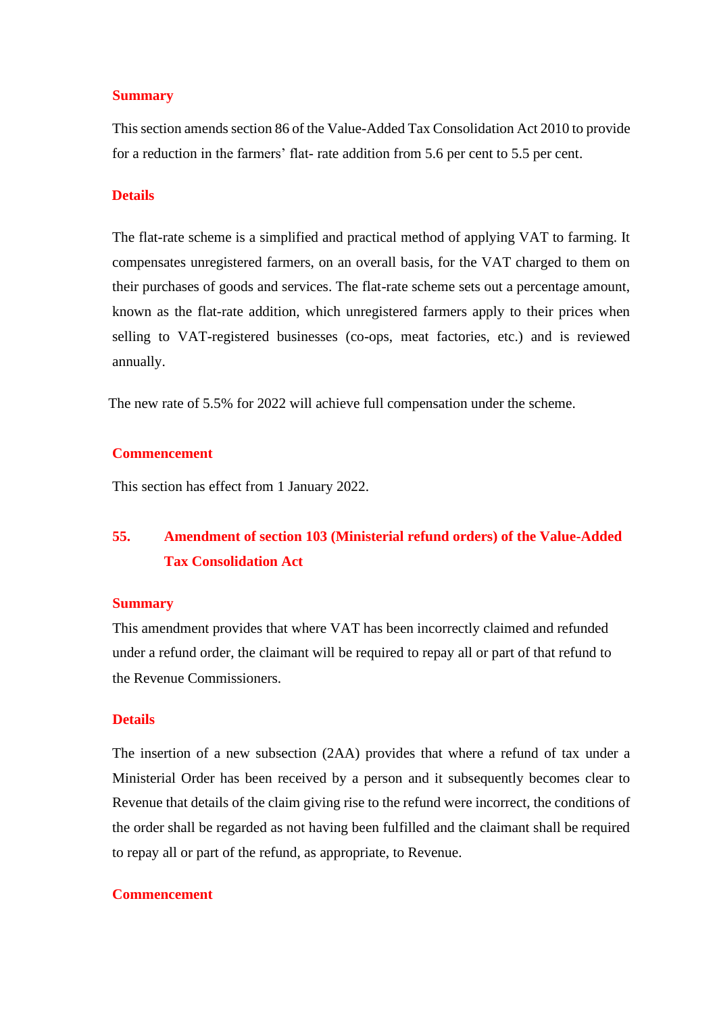#### **Summary**

This section amends section 86 of the Value-Added Tax Consolidation Act 2010 to provide for a reduction in the farmers' flat- rate addition from 5.6 per cent to 5.5 per cent.

#### **Details**

The flat-rate scheme is a simplified and practical method of applying VAT to farming. It compensates unregistered farmers, on an overall basis, for the VAT charged to them on their purchases of goods and services. The flat-rate scheme sets out a percentage amount, known as the flat-rate addition, which unregistered farmers apply to their prices when selling to VAT-registered businesses (co-ops, meat factories, etc.) and is reviewed annually.

The new rate of 5.5% for 2022 will achieve full compensation under the scheme.

#### **Commencement**

This section has effect from 1 January 2022.

## **55. Amendment of section 103 (Ministerial refund orders) of the Value-Added Tax Consolidation Act**

#### **Summary**

This amendment provides that where VAT has been incorrectly claimed and refunded under a refund order, the claimant will be required to repay all or part of that refund to the Revenue Commissioners.

#### **Details**

The insertion of a new subsection (2AA) provides that where a refund of tax under a Ministerial Order has been received by a person and it subsequently becomes clear to Revenue that details of the claim giving rise to the refund were incorrect, the conditions of the order shall be regarded as not having been fulfilled and the claimant shall be required to repay all or part of the refund, as appropriate, to Revenue.

#### **Commencement**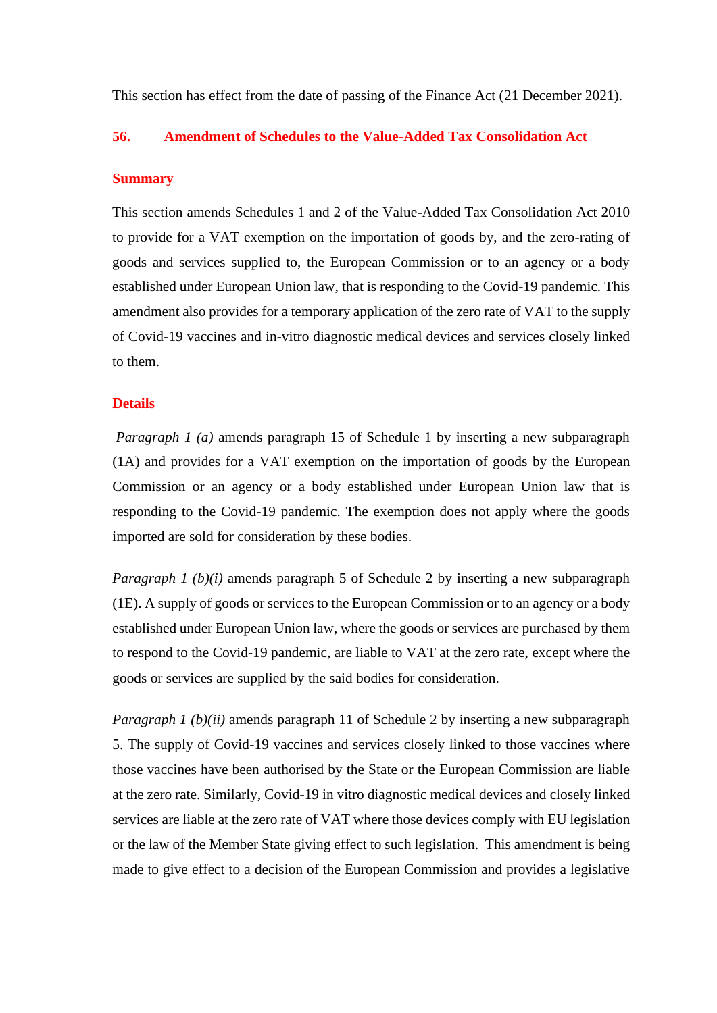This section has effect from the date of passing of the Finance Act (21 December 2021).

#### **56. Amendment of Schedules to the Value-Added Tax Consolidation Act**

#### **Summary**

This section amends Schedules 1 and 2 of the Value-Added Tax Consolidation Act 2010 to provide for a VAT exemption on the importation of goods by, and the zero-rating of goods and services supplied to, the European Commission or to an agency or a body established under European Union law, that is responding to the Covid-19 pandemic. This amendment also provides for a temporary application of the zero rate of VAT to the supply of Covid-19 vaccines and in-vitro diagnostic medical devices and services closely linked to them.

#### **Details**

*Paragraph 1 (a)* amends paragraph 15 of Schedule 1 by inserting a new subparagraph (1A) and provides for a VAT exemption on the importation of goods by the European Commission or an agency or a body established under European Union law that is responding to the Covid-19 pandemic. The exemption does not apply where the goods imported are sold for consideration by these bodies.

*Paragraph 1 (b)(i)* amends paragraph 5 of Schedule 2 by inserting a new subparagraph (1E). A supply of goods or services to the European Commission or to an agency or a body established under European Union law, where the goods or services are purchased by them to respond to the Covid-19 pandemic, are liable to VAT at the zero rate, except where the goods or services are supplied by the said bodies for consideration.

*Paragraph 1 (b)(ii)* amends paragraph 11 of Schedule 2 by inserting a new subparagraph 5. The supply of Covid-19 vaccines and services closely linked to those vaccines where those vaccines have been authorised by the State or the European Commission are liable at the zero rate. Similarly, Covid-19 in vitro diagnostic medical devices and closely linked services are liable at the zero rate of VAT where those devices comply with EU legislation or the law of the Member State giving effect to such legislation. This amendment is being made to give effect to a decision of the European Commission and provides a legislative